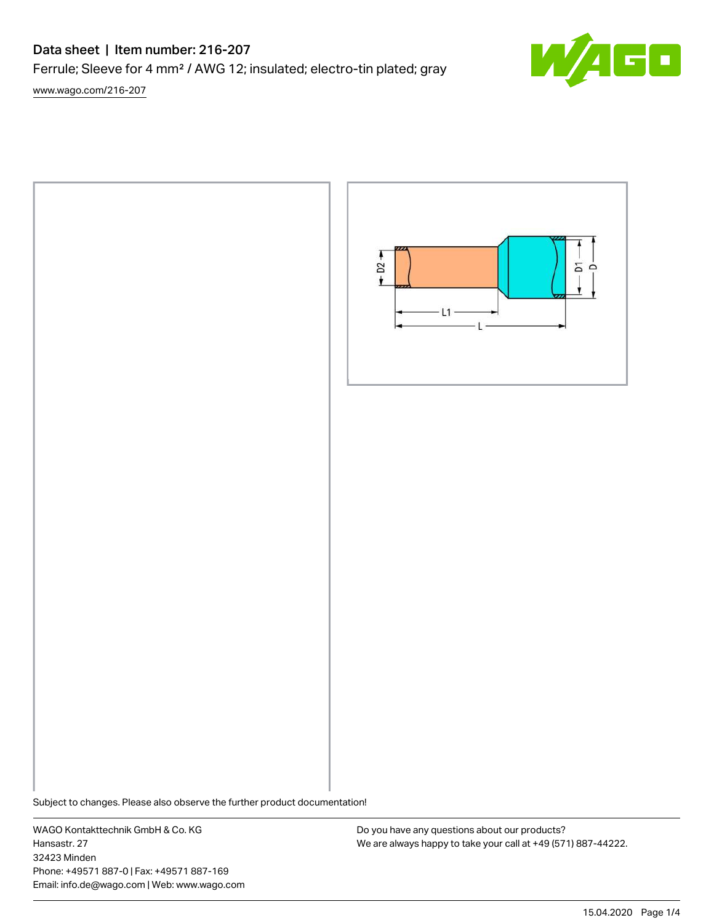# Data sheet | Item number: 216-207

Ferrule; Sleeve for 4 mm² / AWG 12; insulated; electro-tin plated; gray

[www.wago.com/216-207](http://www.wago.com/216-207)





Subject to changes. Please also observe the further product documentation!

WAGO Kontakttechnik GmbH & Co. KG Hansastr. 27 32423 Minden Phone: +49571 887-0 | Fax: +49571 887-169 Email: info.de@wago.com | Web: www.wago.com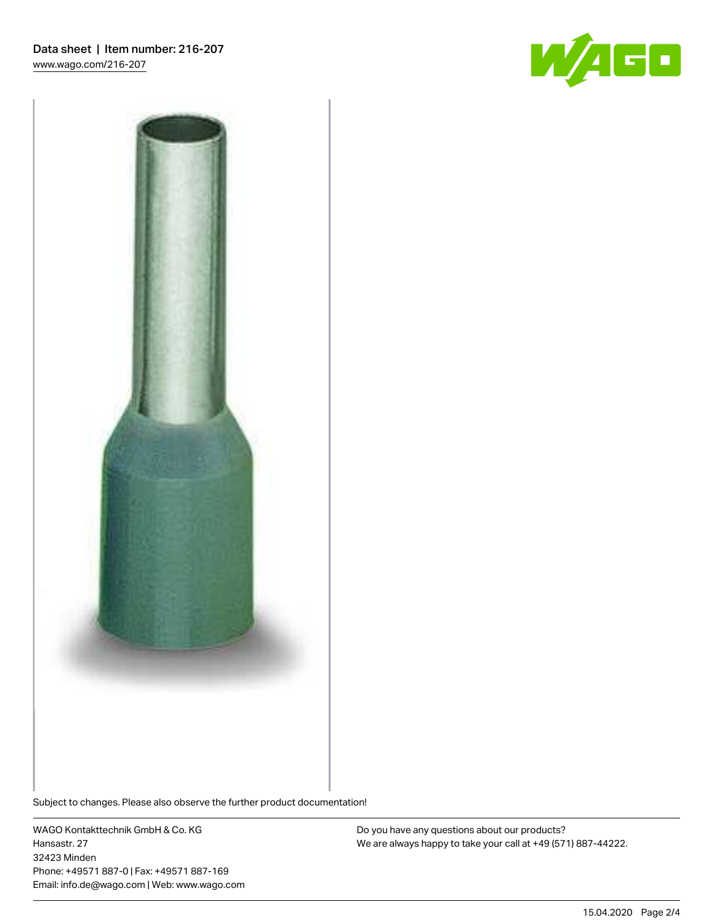



Subject to changes. Please also observe the further product documentation!

WAGO Kontakttechnik GmbH & Co. KG Hansastr. 27 32423 Minden Phone: +49571 887-0 | Fax: +49571 887-169 Email: info.de@wago.com | Web: www.wago.com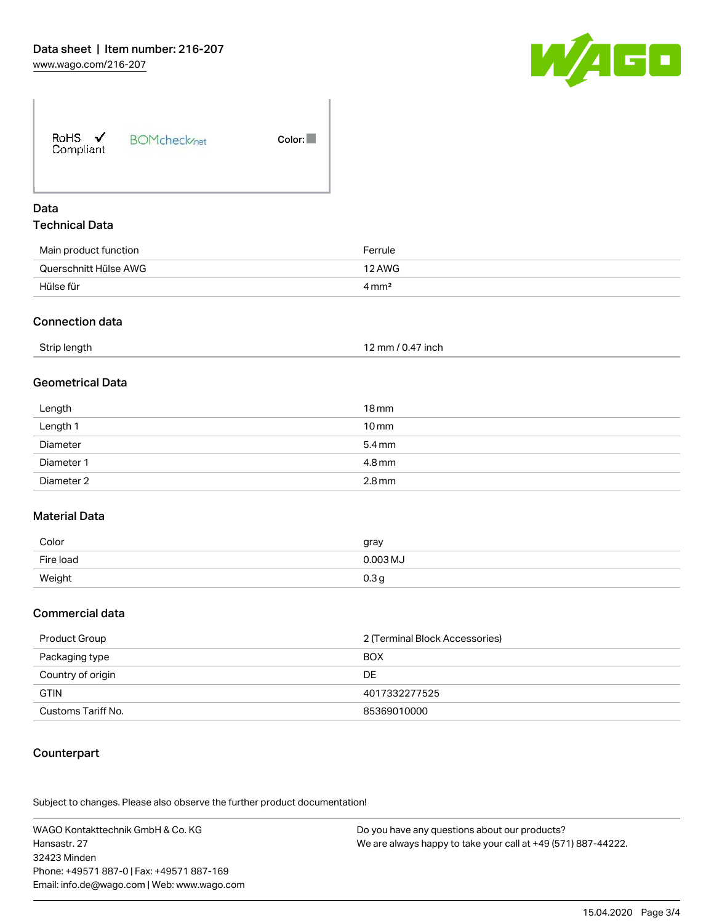

| RoHS $\checkmark$<br>Compliant | <b>BOMcheck</b> /net | Color: |
|--------------------------------|----------------------|--------|
|--------------------------------|----------------------|--------|

### Data Technical Data

| Main product function | Ferrule          |
|-----------------------|------------------|
| Querschnitt Hülse AWG | 12 AWG           |
| Hülse für             | $4 \text{ mm}^2$ |

#### Connection data

| Strip length<br>12 mm / 0.47 inch |
|-----------------------------------|
|-----------------------------------|

## Geometrical Data

| Length     | 18 mm               |
|------------|---------------------|
| Length 1   | $10 \,\mathrm{mm}$  |
| Diameter   | $5.4 \,\mathrm{mm}$ |
| Diameter 1 | 4.8 mm              |
| Diameter 2 | $2.8$ mm            |

## Material Data

| Color     | gray             |
|-----------|------------------|
| Fire load | $0.003$ MJ       |
| Weight    | 0.3 <sub>5</sub> |

#### Commercial data

| Product Group      | 2 (Terminal Block Accessories) |
|--------------------|--------------------------------|
| Packaging type     | <b>BOX</b>                     |
| Country of origin  | DE                             |
| <b>GTIN</b>        | 4017332277525                  |
| Customs Tariff No. | 85369010000                    |

### Counterpart

.<br>Subject to changes. Please also observe the further product documentation!

WAGO Kontakttechnik GmbH & Co. KG Hansastr. 27 32423 Minden Phone: +49571 887-0 | Fax: +49571 887-169 Email: info.de@wago.com | Web: www.wago.com